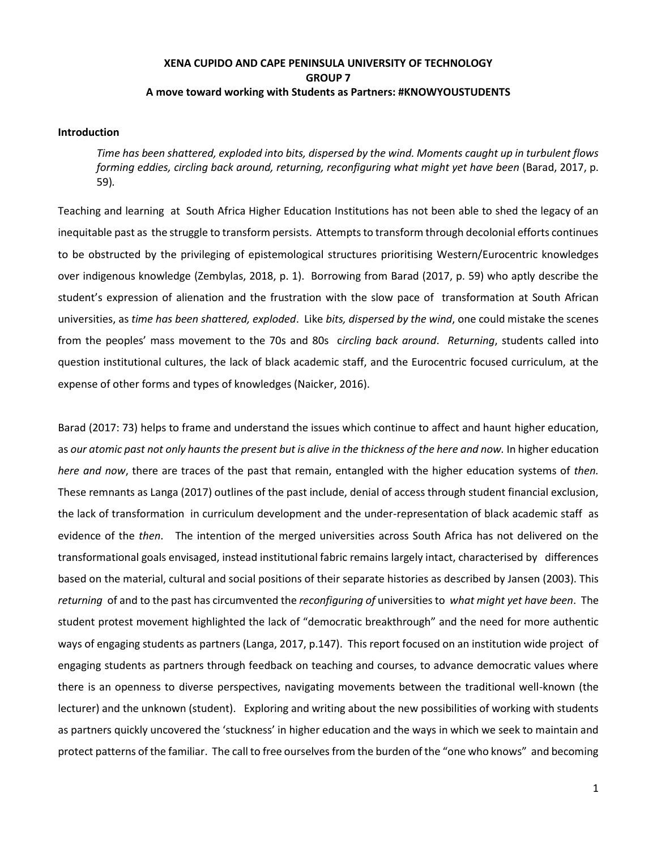# **XENA CUPIDO AND CAPE PENINSULA UNIVERSITY OF TECHNOLOGY GROUP 7 A move toward working with Students as Partners: #KNOWYOUSTUDENTS**

### **Introduction**

*Time has been shattered, exploded into bits, dispersed by the wind. Moments caught up in turbulent flows forming eddies, circling back around, returning, reconfiguring what might yet have been* (Barad, 2017, p. 59)*.*

Teaching and learning at South Africa Higher Education Institutions has not been able to shed the legacy of an inequitable past as the struggle to transform persists. Attempts to transform through decolonial efforts continues to be obstructed by the privileging of epistemological structures prioritising Western/Eurocentric knowledges over indigenous knowledge (Zembylas, 2018, p. 1). Borrowing from Barad (2017, p. 59) who aptly describe the student's expression of alienation and the frustration with the slow pace of transformation at South African universities, as *time has been shattered, exploded*. Like *bits, dispersed by the wind*, one could mistake the scenes from the peoples' mass movement to the 70s and 80s c*ircling back around*. *Returning*, students called into question institutional cultures, the lack of black academic staff, and the Eurocentric focused curriculum, at the expense of other forms and types of knowledges (Naicker, 2016).

Barad (2017: 73) helps to frame and understand the issues which continue to affect and haunt higher education, as *our atomic past not only haunts the present but is alive in the thickness of the here and now.* In higher education *here and now*, there are traces of the past that remain, entangled with the higher education systems of *then.*  These remnants as Langa (2017) outlines of the past include, denial of access through student financial exclusion, the lack of transformation in curriculum development and the under-representation of black academic staff as evidence of the *then*. The intention of the merged universities across South Africa has not delivered on the transformational goals envisaged, instead institutional fabric remains largely intact, characterised by differences based on the material, cultural and social positions of their separate histories as described by Jansen (2003). This *returning* of and to the past has circumvented the *reconfiguring of* universities to *what might yet have been*. The student protest movement highlighted the lack of "democratic breakthrough" and the need for more authentic ways of engaging students as partners (Langa, 2017, p.147). This report focused on an institution wide project of engaging students as partners through feedback on teaching and courses, to advance democratic values where there is an openness to diverse perspectives, navigating movements between the traditional well-known (the lecturer) and the unknown (student). Exploring and writing about the new possibilities of working with students as partners quickly uncovered the 'stuckness' in higher education and the ways in which we seek to maintain and protect patterns of the familiar. The call to free ourselves from the burden of the "one who knows" and becoming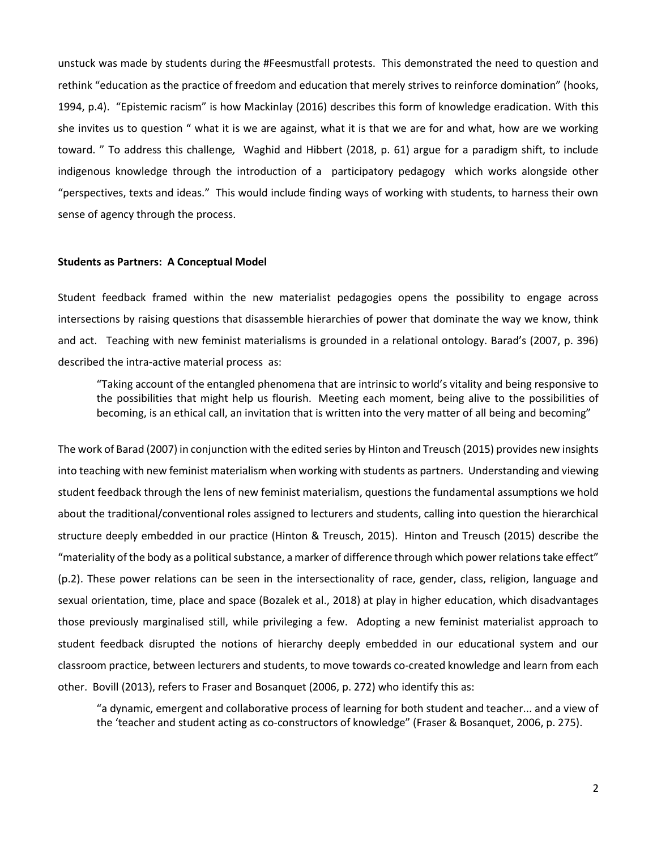unstuck was made by students during the #Feesmustfall protests. This demonstrated the need to question and rethink "education as the practice of freedom and education that merely strives to reinforce domination" (hooks, 1994, p.4). "Epistemic racism" is how Mackinlay (2016) describes this form of knowledge eradication. With this she invites us to question " what it is we are against, what it is that we are for and what, how are we working toward. " To address this challenge*,* Waghid and Hibbert (2018, p. 61) argue for a paradigm shift, to include indigenous knowledge through the introduction of a participatory pedagogy which works alongside other "perspectives, texts and ideas." This would include finding ways of working with students, to harness their own sense of agency through the process.

#### **Students as Partners: A Conceptual Model**

Student feedback framed within the new materialist pedagogies opens the possibility to engage across intersections by raising questions that disassemble hierarchies of power that dominate the way we know, think and act. Teaching with new feminist materialisms is grounded in a relational ontology. Barad's (2007, p. 396) described the intra-active material process as:

"Taking account of the entangled phenomena that are intrinsic to world's vitality and being responsive to the possibilities that might help us flourish. Meeting each moment, being alive to the possibilities of becoming, is an ethical call, an invitation that is written into the very matter of all being and becoming"

The work of Barad (2007) in conjunction with the edited series by Hinton and Treusch (2015) provides new insights into teaching with new feminist materialism when working with students as partners. Understanding and viewing student feedback through the lens of new feminist materialism, questions the fundamental assumptions we hold about the traditional/conventional roles assigned to lecturers and students, calling into question the hierarchical structure deeply embedded in our practice (Hinton & Treusch, 2015). Hinton and Treusch (2015) describe the "materiality of the body as a political substance, a marker of difference through which power relations take effect" (p.2). These power relations can be seen in the intersectionality of race, gender, class, religion, language and sexual orientation, time, place and space (Bozalek et al., 2018) at play in higher education, which disadvantages those previously marginalised still, while privileging a few. Adopting a new feminist materialist approach to student feedback disrupted the notions of hierarchy deeply embedded in our educational system and our classroom practice, between lecturers and students, to move towards co-created knowledge and learn from each other. Bovill (2013), refers to Fraser and Bosanquet (2006, p. 272) who identify this as:

"a dynamic, emergent and collaborative process of learning for both student and teacher... and a view of the 'teacher and student acting as co-constructors of knowledge" (Fraser & Bosanquet, 2006, p. 275).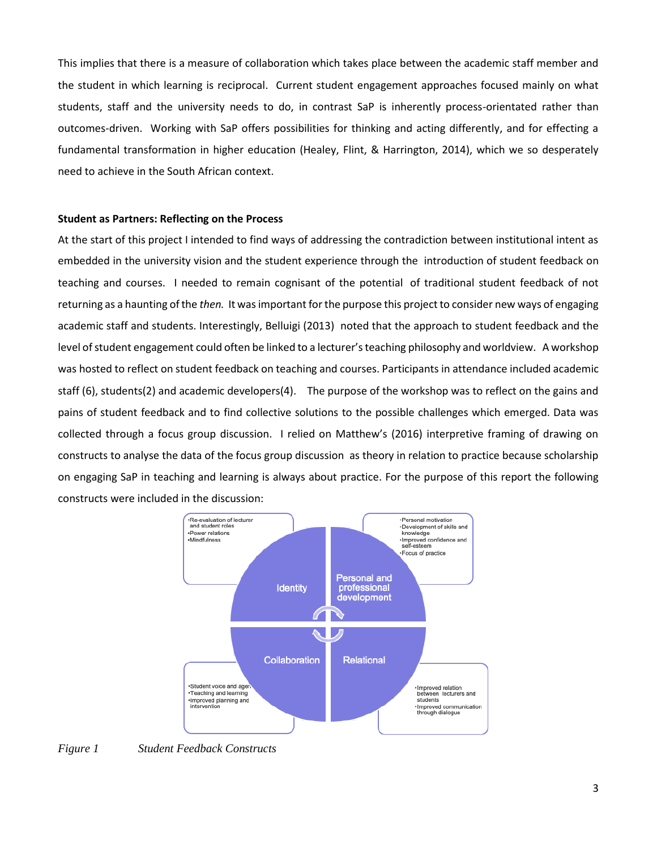This implies that there is a measure of collaboration which takes place between the academic staff member and the student in which learning is reciprocal.Current student engagement approaches focused mainly on what students, staff and the university needs to do, in contrast SaP is inherently process-orientated rather than outcomes-driven. Working with SaP offers possibilities for thinking and acting differently, and for effecting a fundamental transformation in higher education (Healey, Flint, & Harrington, 2014), which we so desperately need to achieve in the South African context.

### **Student as Partners: Reflecting on the Process**

At the start of this project I intended to find ways of addressing the contradiction between institutional intent as embedded in the university vision and the student experience through the introduction of student feedback on teaching and courses. I needed to remain cognisant of the potential of traditional student feedback of not returning as a haunting of the *then.* It was important for the purpose this project to consider new ways of engaging academic staff and students. Interestingly, Belluigi (2013) noted that the approach to student feedback and the level of student engagement could often be linked to a lecturer's teaching philosophy and worldview. A workshop was hosted to reflect on student feedback on teaching and courses. Participants in attendance included academic staff (6), students(2) and academic developers(4). The purpose of the workshop was to reflect on the gains and pains of student feedback and to find collective solutions to the possible challenges which emerged. Data was collected through a focus group discussion. I relied on Matthew's (2016) interpretive framing of drawing on constructs to analyse the data of the focus group discussion as theory in relation to practice because scholarship on engaging SaP in teaching and learning is always about practice. For the purpose of this report the following constructs were included in the discussion:



# *Figure 1 Student Feedback Constructs*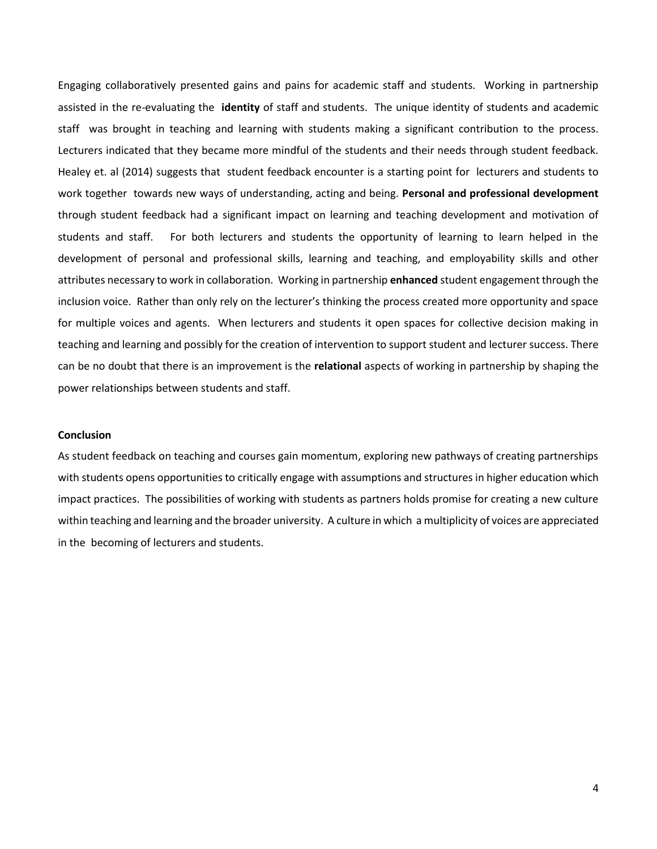Engaging collaboratively presented gains and pains for academic staff and students. Working in partnership assisted in the re-evaluating the **identity** of staff and students. The unique identity of students and academic staff was brought in teaching and learning with students making a significant contribution to the process. Lecturers indicated that they became more mindful of the students and their needs through student feedback. Healey et. al (2014) suggests that student feedback encounter is a starting point for lecturers and students to work together towards new ways of understanding, acting and being. **Personal and professional development** through student feedback had a significant impact on learning and teaching development and motivation of students and staff. For both lecturers and students the opportunity of learning to learn helped in the development of personal and professional skills, learning and teaching, and employability skills and other attributes necessary to work in collaboration. Working in partnership **enhanced** student engagement through the inclusion voice. Rather than only rely on the lecturer's thinking the process created more opportunity and space for multiple voices and agents. When lecturers and students it open spaces for collective decision making in teaching and learning and possibly for the creation of intervention to support student and lecturer success. There can be no doubt that there is an improvement is the **relational** aspects of working in partnership by shaping the power relationships between students and staff.

#### **Conclusion**

As student feedback on teaching and courses gain momentum, exploring new pathways of creating partnerships with students opens opportunities to critically engage with assumptions and structures in higher education which impact practices. The possibilities of working with students as partners holds promise for creating a new culture within teaching and learning and the broader university. A culture in which a multiplicity of voices are appreciated in the becoming of lecturers and students.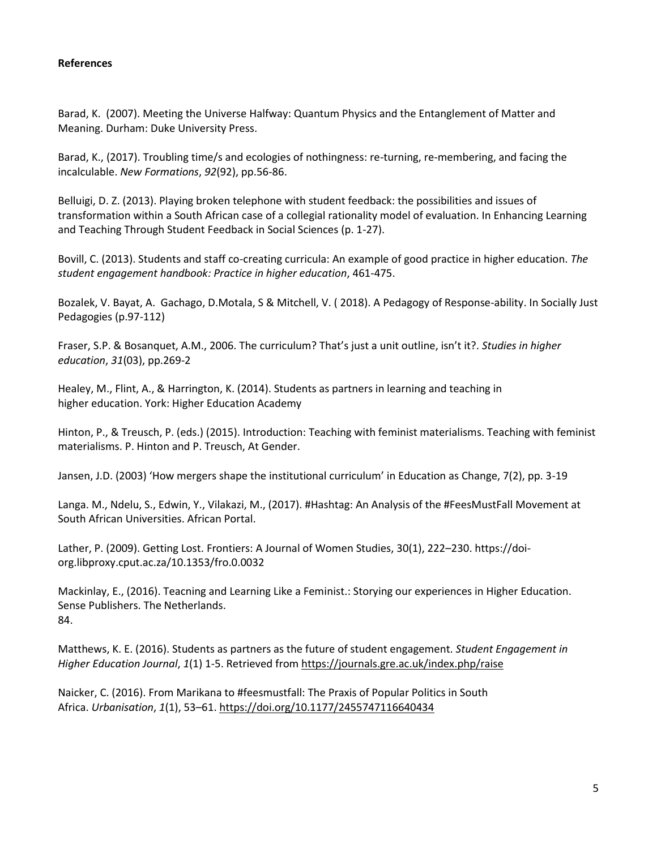### **References**

Barad, K. (2007). Meeting the Universe Halfway: Quantum Physics and the Entanglement of Matter and Meaning. Durham: Duke University Press.

Barad, K., (2017). Troubling time/s and ecologies of nothingness: re-turning, re-membering, and facing the incalculable. *New Formations*, *92*(92), pp.56-86.

Belluigi, D. Z. (2013). Playing broken telephone with student feedback: the possibilities and issues of transformation within a South African case of a collegial rationality model of evaluation. In Enhancing Learning and Teaching Through Student Feedback in Social Sciences (p. 1-27).

Bovill, C. (2013). Students and staff co-creating curricula: An example of good practice in higher education. *The student engagement handbook: Practice in higher education*, 461-475.

Bozalek, V. Bayat, A. Gachago, D.Motala, S & Mitchell, V. ( 2018). A Pedagogy of Response-ability. In Socially Just Pedagogies (p.97-112)

Fraser, S.P. & Bosanquet, A.M., 2006. The curriculum? That's just a unit outline, isn't it?. *Studies in higher education*, *31*(03), pp.269-2

Healey, M., Flint, A., & Harrington, K. (2014). Students as partners in learning and teaching in higher education. York: Higher Education Academy

Hinton, P., & Treusch, P. (eds.) (2015). Introduction: Teaching with feminist materialisms. Teaching with feminist materialisms. P. Hinton and P. Treusch, At Gender.

Jansen, J.D. (2003) 'How mergers shape the institutional curriculum' in Education as Change, 7(2), pp. 3-19

Langa. M., Ndelu, S., Edwin, Y., Vilakazi, M., (2017). #Hashtag: An Analysis of the #FeesMustFall Movement at South African Universities. African Portal.

Lather, P. (2009). Getting Lost. Frontiers: A Journal of Women Studies, 30(1), 222–230. https://doiorg.libproxy.cput.ac.za/10.1353/fro.0.0032

Mackinlay, E., (2016). Teacning and Learning Like a Feminist.: Storying our experiences in Higher Education. Sense Publishers. The Netherlands. 84.

Matthews, K. E. (2016). Students as partners as the future of student engagement. *Student Engagement in Higher Education Journal*, *1*(1) 1-5. Retrieved from<https://journals.gre.ac.uk/index.php/raise>

Naicker, C. (2016). From Marikana to #feesmustfall: The Praxis of Popular Politics in South Africa. *Urbanisation*, *1*(1), 53–61. <https://doi.org/10.1177/2455747116640434>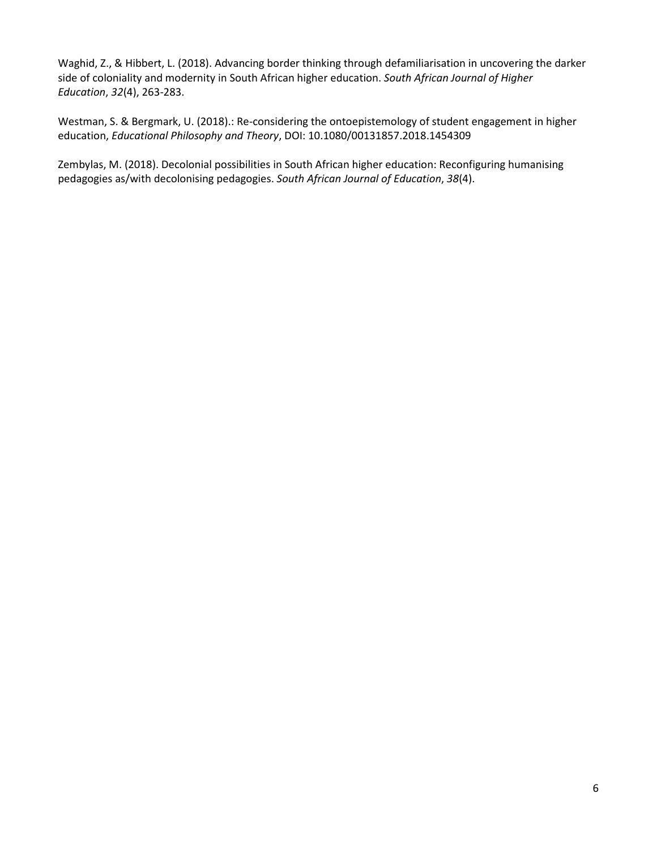Waghid, Z., & Hibbert, L. (2018). Advancing border thinking through defamiliarisation in uncovering the darker side of coloniality and modernity in South African higher education. *South African Journal of Higher Education*, *32*(4), 263-283.

Westman, S. & Bergmark, U. (2018).: Re-considering the ontoepistemology of student engagement in higher education, *Educational Philosophy and Theory*, DOI: 10.1080/00131857.2018.1454309

Zembylas, M. (2018). Decolonial possibilities in South African higher education: Reconfiguring humanising pedagogies as/with decolonising pedagogies. *South African Journal of Education*, *38*(4).